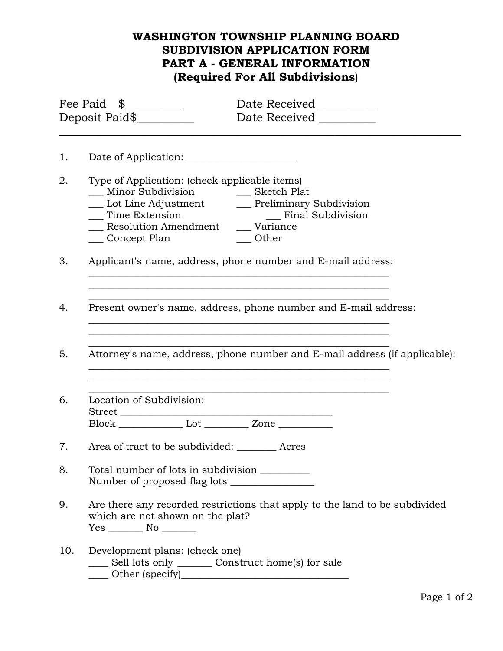# **WASHINGTON TOWNSHIP PLANNING BOARD SUBDIVISION APPLICATION FORM PART A - GENERAL INFORMATION (Required For All Subdivisions**)

| Fee Paid \$<br>Deposit Paid\$ |                                                                                                                                       | Date Received _________<br>Date Received __________                        |  |
|-------------------------------|---------------------------------------------------------------------------------------------------------------------------------------|----------------------------------------------------------------------------|--|
| 1.                            |                                                                                                                                       |                                                                            |  |
| 2.                            | Type of Application: (check applicable items)<br>__ Minor Subdivision _______ Sketch Plat<br>__ Concept Plan                          | $\_\_$ Other                                                               |  |
| 3.                            |                                                                                                                                       | Applicant's name, address, phone number and E-mail address:                |  |
| 4.                            | Present owner's name, address, phone number and E-mail address:                                                                       |                                                                            |  |
| 5.                            |                                                                                                                                       | Attorney's name, address, phone number and E-mail address (if applicable): |  |
| 6.                            | Location of Subdivision:                                                                                                              |                                                                            |  |
| 7.                            | Area of tract to be subdivided: __________ Acres                                                                                      |                                                                            |  |
| 8.                            | Total number of lots in subdivision _________<br>Number of proposed flag lots                                                         |                                                                            |  |
| 9.                            | Are there any recorded restrictions that apply to the land to be subdivided<br>which are not shown on the plat?<br>$Yes \_\_ No \_\_$ |                                                                            |  |
| 10.                           | Development plans: (check one)<br>____ Sell lots only _______ Construct home(s) for sale                                              |                                                                            |  |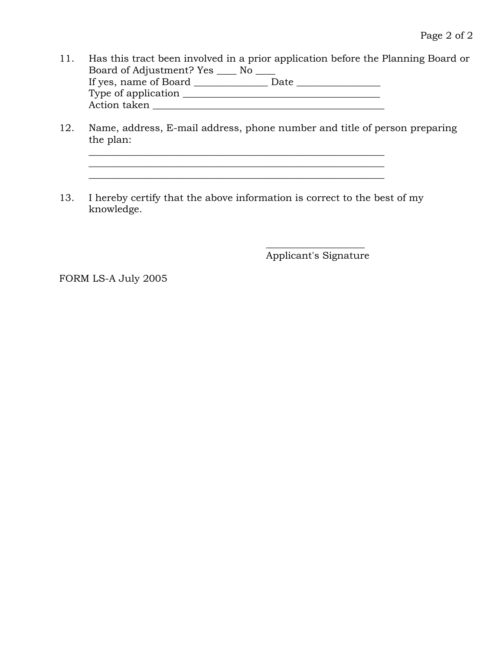- 11. Has this tract been involved in a prior application before the Planning Board or Board of Adjustment? Yes \_\_\_\_ No \_\_\_\_ If yes, name of Board \_\_\_\_\_\_\_\_\_\_\_\_\_\_\_ Date \_\_\_\_\_\_\_\_\_\_\_\_\_\_\_\_\_ Type of application \_\_\_\_\_\_\_\_\_\_\_\_\_\_\_\_\_\_\_\_\_\_\_\_\_\_\_\_\_\_\_\_\_\_\_\_\_\_\_\_ Action taken \_\_\_\_\_\_\_\_\_\_\_\_\_\_\_\_\_\_\_\_\_\_\_\_\_\_\_\_\_\_\_\_\_\_\_\_\_\_\_\_\_\_\_\_\_\_\_
- 12. Name, address, E-mail address, phone number and title of person preparing the plan:

 $\overline{\phantom{a}}$  , and the contribution of the contribution of the contribution of the contribution of the contribution of the contribution of the contribution of the contribution of the contribution of the contribution of the

13. I hereby certify that the above information is correct to the best of my knowledge.

\_\_\_\_\_\_\_\_\_\_\_\_\_\_\_\_\_\_\_\_\_\_\_\_\_\_\_\_\_\_\_\_\_\_\_\_\_\_\_\_\_\_\_\_\_\_\_\_\_\_\_\_\_\_\_\_\_\_\_\_

 $\overline{\phantom{a}}$  , where  $\overline{\phantom{a}}$  , where  $\overline{\phantom{a}}$  , where  $\overline{\phantom{a}}$  , where  $\overline{\phantom{a}}$ Applicant's Signature

FORM LS-A July 2005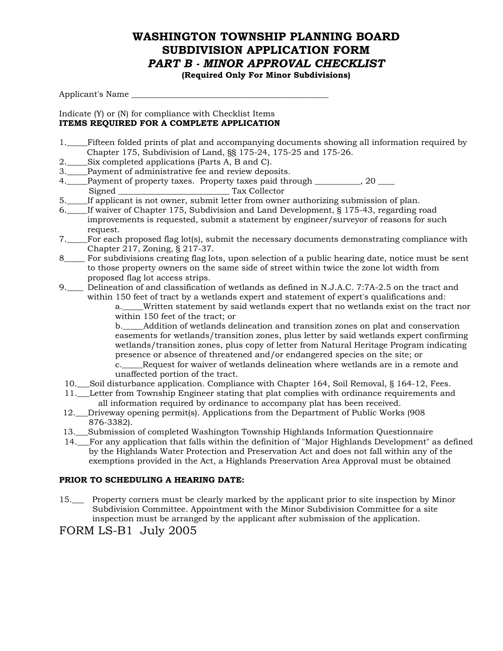## **WASHINGTON TOWNSHIP PLANNING BOARD SUBDIVISION APPLICATION FORM**  *PART B - MINOR APPROVAL CHECKLIST*

**(Required Only For Minor Subdivisions)** 

Applicant's Name \_\_\_\_\_\_\_\_\_\_\_\_\_\_\_\_\_\_\_\_\_\_\_\_\_\_\_\_\_\_\_\_\_\_\_\_\_\_\_\_\_\_\_\_\_\_\_\_

#### Indicate (Y) or (N) for compliance with Checklist Items **ITEMS REQUIRED FOR A COMPLETE APPLICATION**

- 1.\_\_\_\_\_Fifteen folded prints of plat and accompanying documents showing all information required by Chapter 175, Subdivision of Land, §§ 175-24, 175-25 and 175-26.
- 2.\_\_\_\_\_Six completed applications (Parts A, B and C).
- 3.\_\_\_\_\_Payment of administrative fee and review deposits.
- 4. Payment of property taxes. Property taxes paid through 20 Signed \_\_\_\_\_\_\_\_\_\_\_\_\_\_\_\_\_\_\_\_\_\_\_\_\_\_\_ Tax Collector
- 5.\_\_\_\_\_If applicant is not owner, submit letter from owner authorizing submission of plan.
- 6.\_\_\_\_\_ If waiver of Chapter 175, Subdivision and Land Development, § 175-43, regarding road improvements is requested, submit a statement by engineer/surveyor of reasons for such request.
- 7.\_\_\_\_\_ For each proposed flag lot(s), submit the necessary documents demonstrating compliance with Chapter 217, Zoning, § 217-37.
- 8\_\_\_\_\_ For subdivisions creating flag lots, upon selection of a public hearing date, notice must be sent to those property owners on the same side of street within twice the zone lot width from proposed flag lot access strips.
- 9.\_\_\_\_ Delineation of and classification of wetlands as defined in N.J.A.C. 7:7A-2.5 on the tract and within 150 feet of tract by a wetlands expert and statement of expert's qualifications and:

 a.\_\_\_\_\_Written statement by said wetlands expert that no wetlands exist on the tract nor within 150 feet of the tract; or

 b.\_\_\_\_\_Addition of wetlands delineation and transition zones on plat and conservation easements for wetlands/transition zones, plus letter by said wetlands expert confirming wetlands/transition zones, plus copy of letter from Natural Heritage Program indicating presence or absence of threatened and/or endangered species on the site; or

 c.\_\_\_\_\_Request for waiver of wetlands delineation where wetlands are in a remote and unaffected portion of the tract.

- 10.\_\_\_Soil disturbance application. Compliance with Chapter 164, Soil Removal, § 164-12, Fees.
- 11.\_\_\_Letter from Township Engineer stating that plat complies with ordinance requirements and all information required by ordinance to accompany plat has been received.
- 12.\_\_\_Driveway opening permit(s). Applications from the Department of Public Works (908 876-3382).
- 13.\_\_\_Submission of completed Washington Township Highlands Information Questionnaire
- 14.\_\_\_For any application that falls within the definition of "Major Highlands Development" as defined by the Highlands Water Protection and Preservation Act and does not fall within any of the exemptions provided in the Act, a Highlands Preservation Area Approval must be obtained

### **PRIOR TO SCHEDULING A HEARING DATE:**

15.\_\_\_ Property corners must be clearly marked by the applicant prior to site inspection by Minor Subdivision Committee. Appointment with the Minor Subdivision Committee for a site inspection must be arranged by the applicant after submission of the application.

### FORM LS-B1 July 2005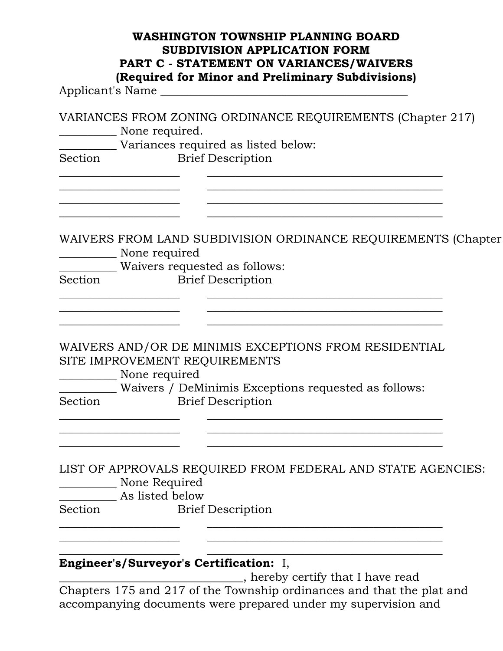|         | <b>WASHINGTON TOWNSHIP PLANNING BOARD</b><br><b>SUBDIVISION APPLICATION FORM</b><br>PART C - STATEMENT ON VARIANCES/WAIVERS<br>(Required for Minor and Preliminary Subdivisions)<br>Applicant's Name |                                                               |
|---------|------------------------------------------------------------------------------------------------------------------------------------------------------------------------------------------------------|---------------------------------------------------------------|
| Section | VARIANCES FROM ZONING ORDINANCE REQUIREMENTS (Chapter 217)<br>None required.<br>Variances required as listed below:<br><b>Brief Description</b>                                                      |                                                               |
| Section | None required<br>Waivers requested as follows:<br><b>Brief Description</b>                                                                                                                           | WAIVERS FROM LAND SUBDIVISION ORDINANCE REQUIREMENTS (Chapter |
| Section | WAIVERS AND/OR DE MINIMIS EXCEPTIONS FROM RESIDENTIAL<br>SITE IMPROVEMENT REQUIREMENTS<br>None required<br>Waivers / DeMinimis Exceptions requested as follows:<br><b>Brief Description</b>          |                                                               |
| Section | None Required<br><b>Example 12</b> As listed below<br><b>Brief Description</b>                                                                                                                       | LIST OF APPROVALS REQUIRED FROM FEDERAL AND STATE AGENCIES:   |
|         | <b>Engineer's/Surveyor's Certification:</b> I,<br>Chapters 175 and 217 of the Township ordinances and that the plat and                                                                              | , hereby certify that I have read                             |

accompanying documents were prepared under my supervision and